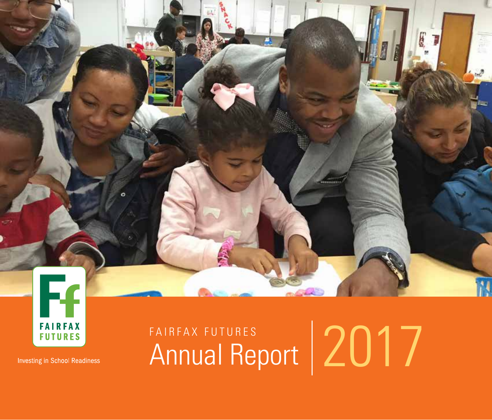

**Investing in School Readiness** 

# FAIRFAX FUTURES<br>Annual Report | 2017

é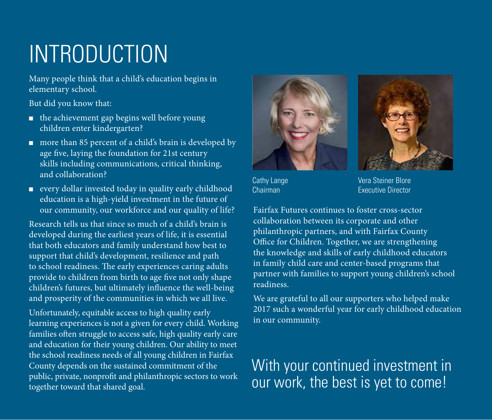# INTRODUCTION

Many people think that a child's education begins in elementary school.

But did you know that:

- the achievement gap begins well before young children enter kindergarten?
- more than 85 percent of a child's brain is developed by age five, laying the foundation for 21st century skills including communications, critical thinking, and collaboration?
- every dollar invested today in quality early childhood education is a high-yield investment in the future of our community, our workforce and our quality of life?

Research tells us that since so much of a child's brain is developed during the earliest years of life, it is essential that both educators and family understand how best to support that child's development, resilience and path to school readiness. The early experiences caring adults provide to children from birth to age five not only shape children's futures, but ultimately influence the well-being and prosperity of the communities in which we all live.

Unfortunately, equitable access to high quality early learning experiences is not a given for every child. Working families often struggle to access safe, high quality early care and education for their young children. Our ability to meet the school readiness needs of all young children in Fairfax County depends on the sustained commitment of the public, private, nonprofit and philanthropic sectors to work together toward that shared goal.





Cathy Lange Chairman

Vera Steiner Blore Executive Director

Fairfax Futures continues to foster cross-sector collaboration between its corporate and other philanthropic partners, and with Fairfax County Office for Children. Together, we are strengthening the knowledge and skills of early childhood educators in family child care and center-based programs that partner with families to support young children's school readiness.

We are grateful to all our supporters who helped make 2017 such a wonderful year for early childhood education in our community.

### With your continued investment in our work, the best is yet to come!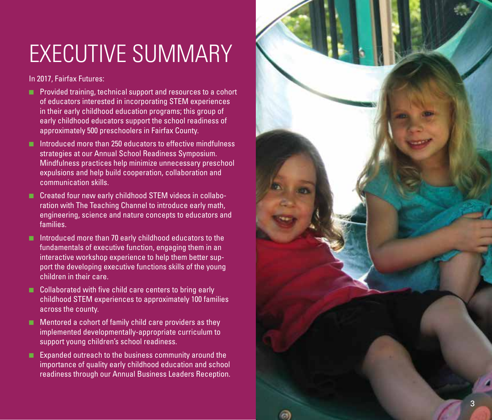# EXECUTIVE SUMMARY

In 2017, Fairfax Futures:

- Provided training, technical support and resources to a cohort of educators interested in incorporating STEM experiences in their early childhood education programs; this group of early childhood educators support the school readiness of approximately 500 preschoolers in Fairfax County.
- Introduced more than 250 educators to effective mindfulness strategies at our Annual School Readiness Symposium. Mindfulness practices help minimize unnecessary preschool expulsions and help build cooperation, collaboration and communication skills.
- Created four new early childhood STEM videos in collaboration with The Teaching Channel to introduce early math, engineering, science and nature concepts to educators and families.
- Introduced more than 70 early childhood educators to the fundamentals of executive function, engaging them in an interactive workshop experience to help them better sup port the developing executive functions skills of the young children in their care.
- Collaborated with five child care centers to bring early childhood STEM experiences to approximately 100 families across the county.
- Mentored a cohort of family child care providers as they implemented developmentally-appropriate curriculum to support young children's school readiness.
- Expanded outreach to the business community around the importance of quality early childhood education and school readiness through our Annual Business Leaders Reception.

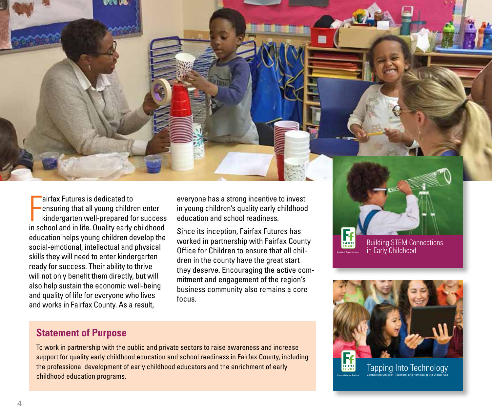

airfax Futures is dedicated to<br>
ensuring that all young children enter<br>
kindergarten well-prepared for success<br>
in school and in life. Quality early childhood airfax Futures is dedicated to ensuring that all young children enter kindergarten well-prepared for success education helps young children develop the social-emotional, intellectual and physical skills they will need to enter kindergarten ready for success. Their ability to thrive will not only benefit them directly, but will also help sustain the economic well-being and quality of life for everyone who lives and works in Fairfax County. As a result,

everyone has a strong incentive to invest in young children's quality early childhood education and school readiness.

Since its inception, Fairfax Futures has worked in partnership with Fairfax County Office for Children to ensure that all children in the county have the great start they deserve. Encouraging the active commitment and engagement of the region's business community also remains a core focus.

## Building STEM Connections in Early Childhood



#### **Statement of Purpose**

To work in partnership with the public and private sectors to raise awareness and increase support for quality early childhood education and school readiness in Fairfax County, including the professional development of early childhood educators and the enrichment of early childhood education programs.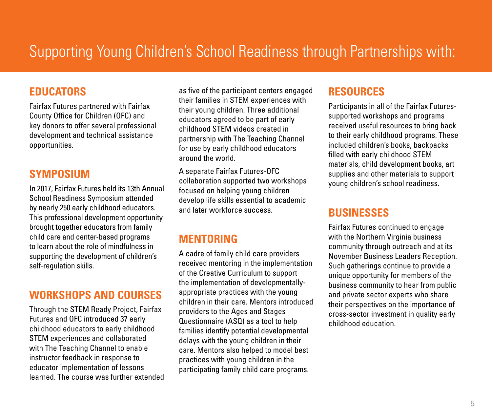## Supporting Young Children's School Readiness through Partnerships with:

#### **EDUCATORS**

Fairfax Futures partnered with Fairfax County Office for Children (OFC) and key donors to offer several professional development and technical assistance opportunities.

#### **SYMPOSIUM**

In 2017, Fairfax Futures held its 13th Annual School Readiness Symposium attended by nearly 250 early childhood educators. This professional development opportunity brought together educators from family child care and center-based programs to learn about the role of mindfulness in supporting the development of children's self-regulation skills.

#### **WORKSHOPS AND COURSES**

Through the STEM Ready Project, Fairfax Futures and OFC introduced 37 early childhood educators to early childhood STEM experiences and collaborated with The Teaching Channel to enable instructor feedback in response to educator implementation of lessons learned. The course was further extended as five of the participant centers engaged their families in STEM experiences with their young children. Three additional educators agreed to be part of early childhood STEM videos created in partnership with The Teaching Channel for use by early childhood educators around the world.

A separate Fairfax Futures-OFC collaboration supported two workshops focused on helping young children develop life skills essential to academic and later workforce success.

#### **MENTORING**

A cadre of family child care providers received mentoring in the implementation of the Creative Curriculum to support the implementation of developmentallyappropriate practices with the young children in their care. Mentors introduced providers to the Ages and Stages Questionnaire (ASQ) as a tool to help families identify potential developmental delays with the young children in their care. Mentors also helped to model best practices with young children in the participating family child care programs.

#### **RESOURCES**

Participants in all of the Fairfax Futuressupported workshops and programs received useful resources to bring back to their early childhood programs. These included children's books, backpacks filled with early childhood STEM materials, child development books, art supplies and other materials to support young children's school readiness.

#### **BUSINESSES**

Fairfax Futures continued to engage with the Northern Virginia business community through outreach and at its November Business Leaders Reception. Such gatherings continue to provide a unique opportunity for members of the business community to hear from public and private sector experts who share their perspectives on the importance of cross-sector investment in quality early childhood education.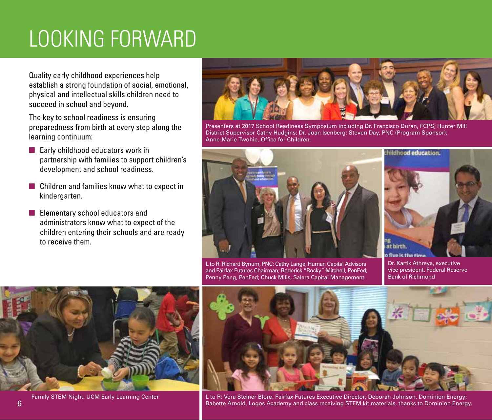# LOOKING FORWARD

Quality early childhood experiences help establish a strong foundation of social, emotional, physical and intellectual skills children need to succeed in school and beyond.

The key to school readiness is ensuring preparedness from birth at every step along the learning continuum:

- Early childhood educators work in partnership with families to support children's development and school readiness.
- Children and families know what to expect in kindergarten.
- Elementary school educators and administrators know what to expect of the children entering their schools and are ready to receive them.



Presenters at 2017 School Readiness Symposium including Dr. Francisco Duran, FCPS; Hunter Mill District Supervisor Cathy Hudgins; Dr. Joan Isenberg; Steven Day, PNC (Program Sponsor); Anne-Marie Twohie, Office for Children.



L to R: Richard Bynum, PNC; Cathy Lange, Human Capital Advisors and Fairfax Futures Chairman; Roderick "Rocky" Mitchell, PenFed; Penny Peng, PenFed; Chuck Mills, Salera Capital Management.



o five is the time Dr. Kartik Athreya, executive vice president, Federal Reserve Bank of Richmond





Family STEM Night, UCM Early Learning Center Labore Lto R: Vera Steiner Blore, Fairfax Futures Executive Director; Deborah Johnson, Dominion Energy; Babette Arnold, Logos Academy and class receiving STEM kit materials, thanks to Dominion Energy.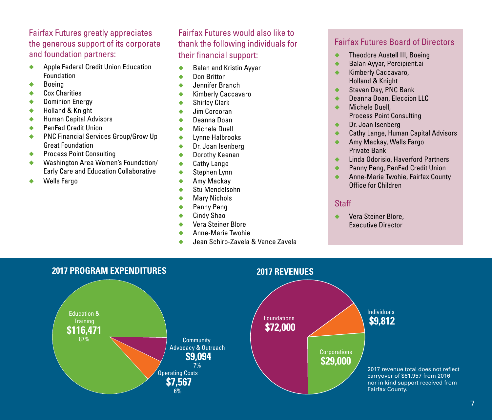#### Fairfax Futures greatly appreciates the generous support of its corporate and foundation partners:

- ◆ Apple Federal Credit Union Education Foundation
- **Boeing**
- Cox Charities
- Dominion Energy
- **Holland & Knight**
- ◆ Human Capital Advisors
- ◆ PenFed Credit Union
- ◆ PNC Financial Services Group/Grow Up Great Foundation
- ◆ Process Point Consulting
- Washington Area Women's Foundation/ Early Care and Education Collaborative
- Wells Fargo

#### Fairfax Futures would also like to thank the following individuals for their financial support:

- ◆ Balan and Kristin Ayyar
- ◆ Don Britton
- ◆ Jennifer Branch
- ◆ Kimberly Caccavaro
- ◆ Shirley Clark
- ◆ Jim Corcoran ◆ Deanna Doan
- ◆ Michele Duell
- ◆ Lynne Halbrooks
- ◆ Dr. Joan Isenberg
- ◆ Dorothy Keenan
- ◆ Cathy Lange
- ◆ Stephen Lynn
- ◆ Amy Mackay
- ◆ Stu Mendelsohn
- ◆ Mary Nichols
- ◆ Penny Peng
- ◆ Cindy Shao
- ◆ Vera Steiner Blore
- ◆ Anne-Marie Twohie
- Jean Schiro-Zavela & Vance Zavela

#### Fairfax Futures Board of Directors

- **Theodore Austell III, Boeing**
- ◆ Balan Ayyar, Percipient.ai
- ◆ Kimberly Caccavaro, Holland & Knight
- Steven Day, PNC Bank
- ◆ Deanna Doan, Eleccion LLC
- ◆ Michele Duell, Process Point Consulting
- Dr. Joan Isenberg
- Cathy Lange, Human Capital Advisors
- Amy Mackay, Wells Fargo Private Bank
- **Linda Odorisio, Haverford Partners**
- Penny Peng, PenFed Credit Union
- Anne-Marie Twohie, Fairfax County Office for Children

#### **Staff**

Vera Steiner Blore, Executive Director